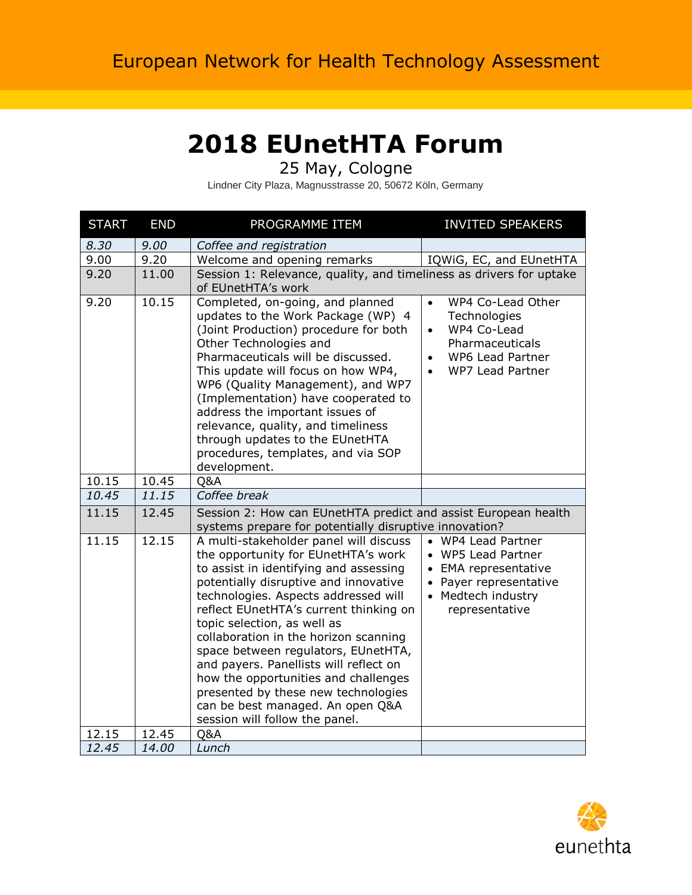## **2018 EUnetHTA Forum**

25 May, Cologne

Lindner City Plaza, Magnusstrasse 20, 50672 Köln, Germany

| <b>START</b> | <b>END</b> | PROGRAMME ITEM                                                                                                                                                                                                                                                                                                                                                                                                                                                                                                                                                   | <b>INVITED SPEAKERS</b>                                                                                                                            |
|--------------|------------|------------------------------------------------------------------------------------------------------------------------------------------------------------------------------------------------------------------------------------------------------------------------------------------------------------------------------------------------------------------------------------------------------------------------------------------------------------------------------------------------------------------------------------------------------------------|----------------------------------------------------------------------------------------------------------------------------------------------------|
| 8.30         | 9.00       | Coffee and registration                                                                                                                                                                                                                                                                                                                                                                                                                                                                                                                                          |                                                                                                                                                    |
| 9.00         | 9.20       | Welcome and opening remarks                                                                                                                                                                                                                                                                                                                                                                                                                                                                                                                                      | IQWiG, EC, and EUnetHTA                                                                                                                            |
| 9.20         | 11.00      | Session 1: Relevance, quality, and timeliness as drivers for uptake<br>of EUnetHTA's work                                                                                                                                                                                                                                                                                                                                                                                                                                                                        |                                                                                                                                                    |
| 9.20         | 10.15      | Completed, on-going, and planned<br>updates to the Work Package (WP) 4<br>(Joint Production) procedure for both<br>Other Technologies and<br>Pharmaceuticals will be discussed.<br>This update will focus on how WP4,<br>WP6 (Quality Management), and WP7<br>(Implementation) have cooperated to<br>address the important issues of<br>relevance, quality, and timeliness<br>through updates to the EUnetHTA<br>procedures, templates, and via SOP<br>development.                                                                                              | WP4 Co-Lead Other<br>$\bullet$<br>Technologies<br>WP4 Co-Lead<br>Pharmaceuticals<br>WP6 Lead Partner<br>$\bullet$<br>WP7 Lead Partner<br>$\bullet$ |
| 10.15        | 10.45      | Q&A                                                                                                                                                                                                                                                                                                                                                                                                                                                                                                                                                              |                                                                                                                                                    |
| 10.45        | 11.15      | Coffee break                                                                                                                                                                                                                                                                                                                                                                                                                                                                                                                                                     |                                                                                                                                                    |
| 11.15        | 12.45      | Session 2: How can EUnetHTA predict and assist European health<br>systems prepare for potentially disruptive innovation?                                                                                                                                                                                                                                                                                                                                                                                                                                         |                                                                                                                                                    |
| 11.15        | 12.15      | A multi-stakeholder panel will discuss<br>the opportunity for EUnetHTA's work<br>to assist in identifying and assessing<br>potentially disruptive and innovative<br>technologies. Aspects addressed will<br>reflect EUnetHTA's current thinking on<br>topic selection, as well as<br>collaboration in the horizon scanning<br>space between regulators, EUnetHTA,<br>and payers. Panellists will reflect on<br>how the opportunities and challenges<br>presented by these new technologies<br>can be best managed. An open Q&A<br>session will follow the panel. | • WP4 Lead Partner<br>• WP5 Lead Partner<br>• EMA representative<br>• Payer representative<br>• Medtech industry<br>representative                 |
| 12.15        | 12.45      | Q&A                                                                                                                                                                                                                                                                                                                                                                                                                                                                                                                                                              |                                                                                                                                                    |
| 12.45        | 14.00      | Lunch                                                                                                                                                                                                                                                                                                                                                                                                                                                                                                                                                            |                                                                                                                                                    |